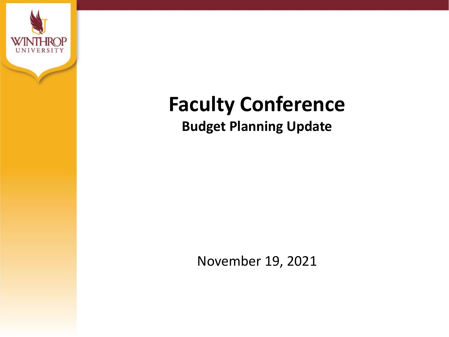

# **Faculty Conference Budget Planning Update**

November 19, 2021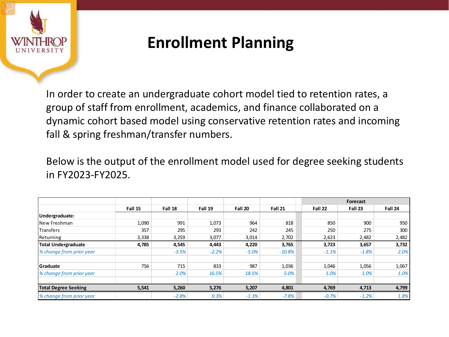

#### **Enrollment Planning**

In order to create an undergraduate cohort model tied to retention rates, a group of staff from enrollment, academics, and finance collaborated on a dynamic cohort based model using conservative retention rates and incoming fall & spring freshman/transfer numbers.

Below is the output of the enrollment model used for degree seeking students in FY2023-FY2025.

|                             |         |         |         |         |          |         | <b>Forecast</b> |         |  |
|-----------------------------|---------|---------|---------|---------|----------|---------|-----------------|---------|--|
|                             | Fall 15 | Fall 18 | Fall 19 | Fall 20 | Fall 21  | Fall 22 | Fall 23         | Fall 24 |  |
| Undergraduate:              |         |         |         |         |          |         |                 |         |  |
| New Freshman                | 1,090   | 991     | 1,073   | 964     | 818      | 850     | 900             | 950     |  |
| <b>Transfers</b>            | 357     | 295     | 293     | 242     | 245      | 250     | 275             | 300     |  |
| Returning                   | 3,338   | 3,259   | 3,077   | 3,014   | 2,702    | 2,623   | 2,482           | 2,482   |  |
| <b>Total Undergraduate</b>  | 4,785   | 4,545   | 4,443   | 4,220   | 3,765    | 3,723   | 3,657           | 3,732   |  |
| % change from prior year    |         | $-3.5%$ | $-2.2%$ | $-5.0%$ | $-10.8%$ | $-1.1%$ | $-1.8%$         | 2.0%    |  |
| <b>Graduate</b>             | 756     | 715     | 833     | 987     | 1,036    | 1,046   | 1,056           | 1,067   |  |
| % change from prior year    |         | 2.0%    | 16.5%   | 18.5%   | 5.0%     | 1.0%    | 1.0%            | 1.0%    |  |
| <b>Total Degree Seeking</b> | 5,541   | 5,260   | 5,276   | 5,207   | 4,801    | 4,769   | 4,713           | 4,799   |  |
| % change from prior year    |         | $-2.8%$ | 0.3%    | $-1.3%$ | $-7.8%$  | $-0.7%$ | $-1.2%$         | 1.8%    |  |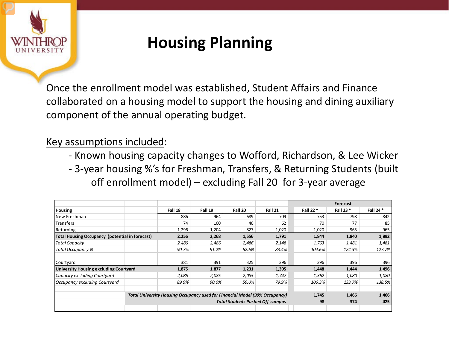

## **Housing Planning**

Once the enrollment model was established, Student Affairs and Finance collaborated on a housing model to support the housing and dining auxiliary component of the annual operating budget.

#### Key assumptions included:

- Known housing capacity changes to Wofford, Richardson, & Lee Wicker
- 3-year housing %'s for Freshman, Transfers, & Returning Students (built off enrollment model) – excluding Fall 20 for 3-year average

|                                                        |                                                                             |         |                                         |         | Forecast |           |           |           |
|--------------------------------------------------------|-----------------------------------------------------------------------------|---------|-----------------------------------------|---------|----------|-----------|-----------|-----------|
| <b>Housing</b>                                         |                                                                             | Fall 18 | Fall 19                                 | Fall 20 | Fall 21  | Fall 22 * | Fall 23 * | Fall 24 * |
| New Freshman                                           |                                                                             | 886     | 964                                     | 689     | 709      | 753       | 798       | 842       |
| Transfers                                              |                                                                             | 74      | 100                                     | 40      | 62       | 70        | 77        | 85        |
| Returning                                              |                                                                             | 1,296   | 1,204                                   | 827     | 1,020    | 1,020     | 965       | 965       |
| <b>Total Housing Occupancy (potential in forecast)</b> |                                                                             | 2,256   | 2,268                                   | 1,556   | 1,791    | 1,844     | 1,840     | 1,892     |
| <b>Total Capacity</b>                                  |                                                                             | 2,486   | 2,486                                   | 2,486   | 2,148    | 1,763     | 1,481     | 1,481     |
| Total Occupancy %                                      |                                                                             | 90.7%   | 91.2%                                   | 62.6%   | 83.4%    | 104.6%    | 124.3%    | 127.7%    |
|                                                        |                                                                             |         |                                         |         |          |           |           |           |
| Courtyard                                              |                                                                             | 381     | 391                                     | 325     | 396      | 396       | 396       | 396       |
| University Housing excluding Courtyard                 |                                                                             | 1,875   | 1,877                                   | 1,231   | 1,395    | 1,448     | 1,444     | 1,496     |
| Capacity excluding Courtyard                           |                                                                             | 2,085   | 2,085                                   | 2,085   | 1,747    | 1,362     | 1,080     | 1,080     |
| Occupancy excluding Courtyard                          |                                                                             | 89.9%   | 90.0%                                   | 59.0%   | 79.9%    | 106.3%    | 133.7%    | 138.5%    |
|                                                        |                                                                             |         |                                         |         |          |           |           |           |
|                                                        | Total University Housing Occupancy used for Financial Model (99% Occupancy) |         |                                         |         |          |           |           | 1,466     |
|                                                        |                                                                             |         | <b>Total Students Pushed Off-campus</b> | 98      | 374      | 425       |           |           |
|                                                        |                                                                             |         |                                         |         |          |           |           |           |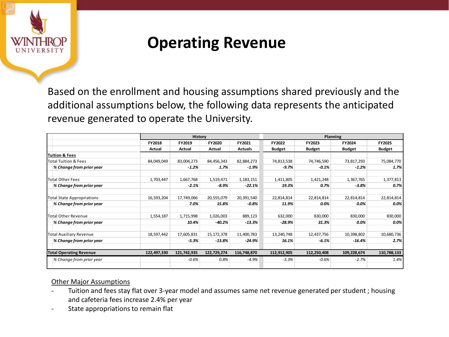

#### **Operating Revenue**

Based on the enrollment and housing assumptions shared previously and the additional assumptions below, the following data represents the anticipated revenue generated to operate the University.

|               |             |             |                | Planning      |               |               |               |
|---------------|-------------|-------------|----------------|---------------|---------------|---------------|---------------|
| <b>FY2018</b> | FY2019      | FY2020      | FY2021         | FY2022        | FY2023        | FY2024        | <b>FY2025</b> |
| Actual        | Actual      | Actual      | <b>Actuals</b> | <b>Budget</b> | <b>Budget</b> | <b>Budget</b> | <b>Budget</b> |
|               |             |             |                |               |               |               |               |
| 84,049,049    | 83,004,273  | 84,456,343  | 82,884,273     | 74,813,538    | 74,746,590    | 73,817,293    | 75,084,770    |
|               | $-1.2%$     | 1.7%        | $-1.9%$        | $-9.7%$       | $-0.1%$       | $-1.2%$       | 1.7%          |
| 1,703,447     | 1,667,768   | 1,519,471   | 1,183,151      | 1,411,805     | 1,421,248     | 1,367,765     | 1,377,813     |
|               | $-2.1%$     | $-8.9%$     | $-22.1%$       | 19.3%         | 0.7%          | $-3.8%$       | 0.7%          |
| 16,593,204    | 17,749,066  | 20,555,079  | 20,391,540     | 22,814,814    | 22,814,814    | 22,814,814    | 22,814,814    |
|               | 7.0%        | 15.8%       | $-0.8%$        | 11.9%         | 0.0%          | $0.0\%$       | 0.0%          |
| 1,554,187     | 1,715,998   | 1,026,003   | 889,123        | 632,000       | 830,000       | 830,000       | 830,000       |
|               | 10.4%       | $-40.2%$    | $-13.3%$       | $-28.9%$      | 31.3%         | $0.0\%$       | 0.0%          |
| 18,597,442    | 17,605,831  | 15,172,378  | 11,400,783     | 13,240,748    | 12,437,756    | 10,398,802    | 10,680,736    |
|               | $-5.3%$     | $-13.8%$    | -24.9%         | 16.1%         | $-6.1%$       | $-16.4\%$     | 2.7%          |
| 122,497,330   | 121,742,935 | 122,729,274 | 116,748,870    | 112,912,905   | 112,250,408   | 109,228,674   | 110,788,133   |
|               | $-0.6%$     | 0.8%        | $-4.9%$        | $-3.3%$       | $-0.6%$       | $-2.7%$       | 1.4%          |
|               |             |             | History        |               |               |               |               |

#### Other Major Assumptions

- Tuition and fees stay flat over 3-year model and assumes same net revenue generated per student; housing and cafeteria fees increase 2.4% per year
- State appropriations to remain flat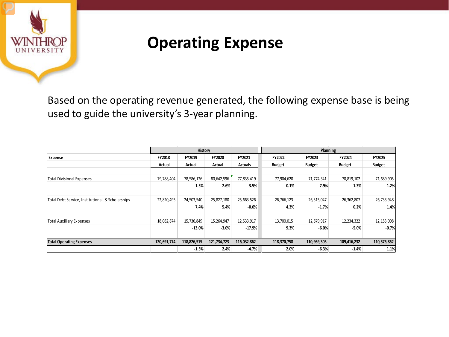

#### **Operating Expense**

Based on the operating revenue generated, the following expense base is being used to guide the university's 3-year planning.

|                                                   | History       |             |             |                | Planning      |               |               |               |
|---------------------------------------------------|---------------|-------------|-------------|----------------|---------------|---------------|---------------|---------------|
| <b>Expense</b>                                    | <b>FY2018</b> | FY2019      | FY2020      | FY2021         | FY2022        | FY2023        | FY2024        | FY2025        |
|                                                   | Actual        | Actual      | Actual      | <b>Actuals</b> | <b>Budget</b> | <b>Budget</b> | <b>Budget</b> | <b>Budget</b> |
|                                                   |               |             |             |                |               |               |               |               |
| <b>Total Divisional Expenses</b>                  | 79,788,404    | 78,586,126  | 80,642,596  | 77,835,419     | 77,904,620    | 71,774,341    | 70,819,102    | 71,689,905    |
|                                                   |               | $-1.5%$     | 2.6%        | $-3.5%$        | 0.1%          | $-7.9%$       | $-1.3%$       | 1.2%          |
|                                                   |               |             |             |                |               |               |               |               |
| Total Debt Service, Institutional, & Scholarships | 22,820,495    | 24,503,540  | 25,827,180  | 25,663,526     | 26,766,123    | 26,315,047    | 26,362,807    | 26,733,948    |
|                                                   |               | 7.4%        | 5.4%        | $-0.6%$        | 4.3%          | $-1.7%$       | 0.2%          | 1.4%          |
| <b>Total Auxiliary Expenses</b>                   | 18,082,874    | 15,736,849  | 15,264,947  | 12,533,917     | 13,700,015    | 12,879,917    | 12,234,322    | 12,153,008    |
|                                                   |               | $-13.0%$    | $-3.0%$     | $-17.9%$       | 9.3%          | $-6.0%$       | $-5.0%$       | $-0.7%$       |
|                                                   |               |             |             |                |               |               |               |               |
| <b>Total Operating Expenses</b>                   | 120,691,774   | 118,826,515 | 121,734,723 | 116,032,862    | 118,370,758   | 110,969,305   | 109,416,232   | 110,576,862   |
|                                                   |               | $-1.5%$     | 2.4%        | $-4.7%$        | 2.0%          | $-6.3%$       | $-1.4%$       | 1.1%          |